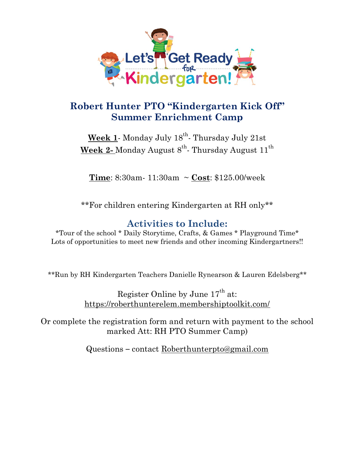

## **Robert Hunter PTO "Kindergarten Kick Off" Summer Enrichment Camp**

**Week 1**- Monday July 18th - Thursday July 21st  $\textbf{Week}\ \textbf{2-} \text{Monday}\ \text{August}\ \text{8}^{\text{th}}\ \text{-}\ \text{Thursday}\ \text{August}\ 11^{\text{th}}$ 

**Time**: 8:30am- 11:30am ~ **Cost**: \$125.00/week

\*\*For children entering Kindergarten at RH only\*\*

## **Activities to Include:**

\*Tour of the school \* Daily Storytime, Crafts, & Games \* Playground Time\* Lots of opportunities to meet new friends and other incoming Kindergartners!!

\*\*Run by RH Kindergarten Teachers Danielle Rynearson & Lauren Edelsberg\*\*

Register Online by June  $17<sup>th</sup>$  at: <https://roberthunterelem.membershiptoolkit.com/>

Or complete the registration form and return with payment to the school marked Att: RH PTO Summer Camp)

Questions – contact [Roberthunterpto@gmail.com](mailto:Roberthunterpto@gmail.com)